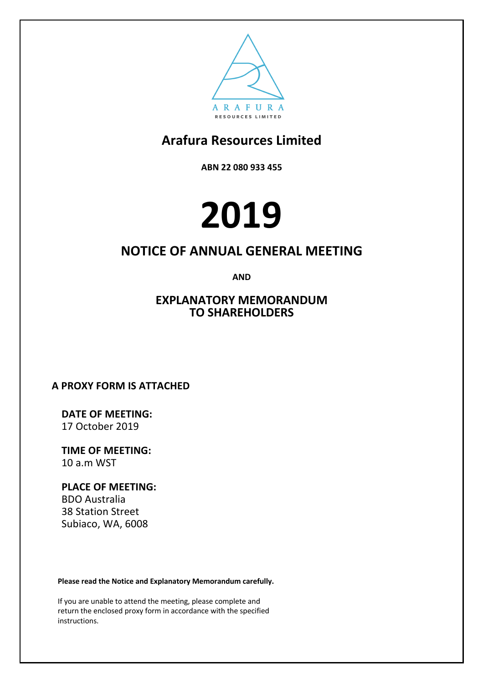

**ABN 22 080 933 455**

# **2019**

# **NOTICE OF ANNUAL GENERAL MEETING**

**AND**

# **EXPLANATORY MEMORANDUM TO SHAREHOLDERS**

# **A PROXY FORM IS ATTACHED**

**DATE OF MEETING:** 17 October 2019

**TIME OF MEETING:** 10 a.m WST

**PLACE OF MEETING:** BDO Australia 38 Station Street Subiaco, WA, 6008

**Please read the Notice and Explanatory Memorandum carefully.**

If you are unable to attend the meeting, please complete and return the enclosed proxy form in accordance with the specified instructions.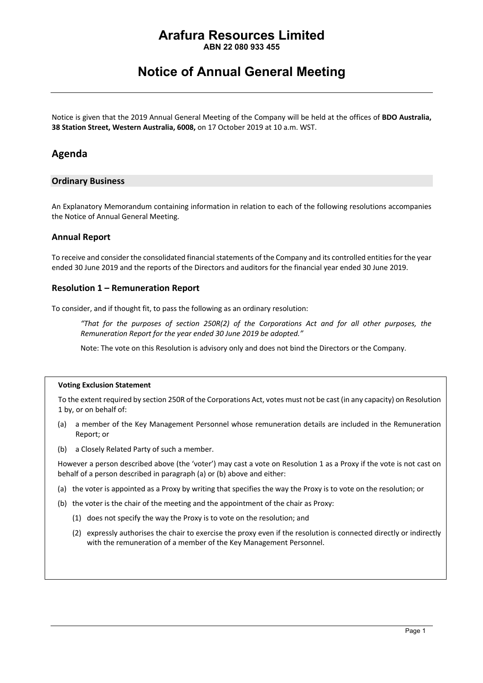**ABN 22 080 933 455**

# **Notice of Annual General Meeting**

Notice is given that the 2019 Annual General Meeting of the Company will be held at the offices of **BDO Australia, 38 Station Street, Western Australia, 6008,** on 17 October 2019 at 10 a.m. WST.

## **Agenda**

## **Ordinary Business**

An Explanatory Memorandum containing information in relation to each of the following resolutions accompanies the Notice of Annual General Meeting.

## **Annual Report**

To receive and consider the consolidated financial statements of the Company and its controlled entities for the year ended 30 June 2019 and the reports of the Directors and auditors for the financial year ended 30 June 2019.

## **Resolution 1 – Remuneration Report**

To consider, and if thought fit, to pass the following as an ordinary resolution:

*"That for the purposes of section 250R(2) of the Corporations Act and for all other purposes, the Remuneration Report for the year ended 30 June 2019 be adopted."*

Note: The vote on this Resolution is advisory only and does not bind the Directors or the Company.

#### **Voting Exclusion Statement**

To the extent required by section 250R of the Corporations Act, votes must not be cast (in any capacity) on Resolution 1 by, or on behalf of:

- (a) a member of the Key Management Personnel whose remuneration details are included in the Remuneration Report; or
- (b) a Closely Related Party of such a member.

However a person described above (the 'voter') may cast a vote on Resolution 1 as a Proxy if the vote is not cast on behalf of a person described in paragraph (a) or (b) above and either:

- (a) the voter is appointed as a Proxy by writing that specifies the way the Proxy is to vote on the resolution; or
- (b) the voter is the chair of the meeting and the appointment of the chair as Proxy:
	- (1) does not specify the way the Proxy is to vote on the resolution; and
	- (2) expressly authorises the chair to exercise the proxy even if the resolution is connected directly or indirectly with the remuneration of a member of the Key Management Personnel.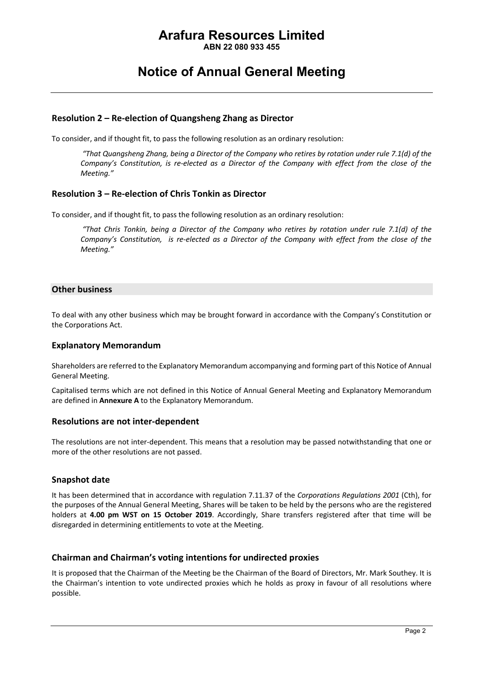**ABN 22 080 933 455**

# **Notice of Annual General Meeting**

## **Resolution 2 – Re-election of Quangsheng Zhang as Director**

To consider, and if thought fit, to pass the following resolution as an ordinary resolution:

*"That Quangsheng Zhang, being a Director of the Company who retires by rotation under rule 7.1(d) of the Company's Constitution, is re-elected as a Director of the Company with effect from the close of the Meeting."*

## **Resolution 3 – Re-election of Chris Tonkin as Director**

To consider, and if thought fit, to pass the following resolution as an ordinary resolution:

*"That Chris Tonkin, being a Director of the Company who retires by rotation under rule 7.1(d) of the Company's Constitution, is re-elected as a Director of the Company with effect from the close of the Meeting."*

## **Other business**

To deal with any other business which may be brought forward in accordance with the Company's Constitution or the Corporations Act.

#### **Explanatory Memorandum**

Shareholders are referred to the Explanatory Memorandum accompanying and forming part of this Notice of Annual General Meeting.

Capitalised terms which are not defined in this Notice of Annual General Meeting and Explanatory Memorandum are defined in **Annexure A** to the Explanatory Memorandum.

#### **Resolutions are not inter-dependent**

The resolutions are not inter-dependent. This means that a resolution may be passed notwithstanding that one or more of the other resolutions are not passed.

## **Snapshot date**

It has been determined that in accordance with regulation 7.11.37 of the *Corporations Regulations 2001* (Cth), for the purposes of the Annual General Meeting, Shares will be taken to be held by the persons who are the registered holders at **4.00 pm WST on 15 October 2019**. Accordingly, Share transfers registered after that time will be disregarded in determining entitlements to vote at the Meeting.

#### **Chairman and Chairman's voting intentions for undirected proxies**

It is proposed that the Chairman of the Meeting be the Chairman of the Board of Directors, Mr. Mark Southey. It is the Chairman's intention to vote undirected proxies which he holds as proxy in favour of all resolutions where possible.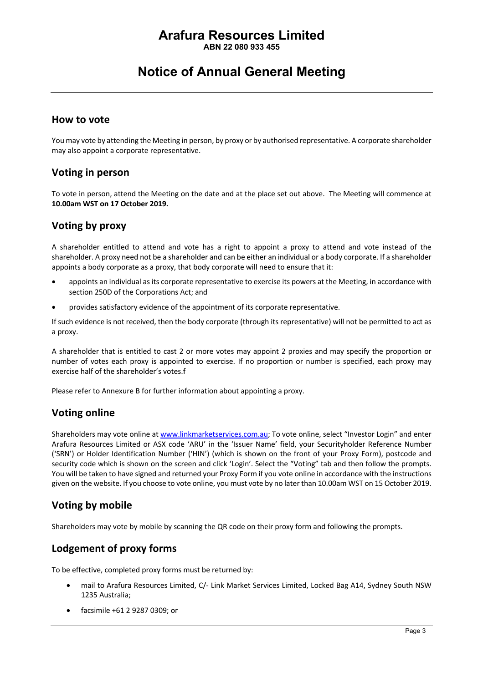**ABN 22 080 933 455**

# **Notice of Annual General Meeting**

## **How to vote**

You may vote by attending the Meeting in person, by proxy or by authorised representative. A corporate shareholder may also appoint a corporate representative.

## **Voting in person**

To vote in person, attend the Meeting on the date and at the place set out above. The Meeting will commence at **10.00am WST on 17 October 2019.**

# **Voting by proxy**

A shareholder entitled to attend and vote has a right to appoint a proxy to attend and vote instead of the shareholder. A proxy need not be a shareholder and can be either an individual or a body corporate. If a shareholder appoints a body corporate as a proxy, that body corporate will need to ensure that it:

- appoints an individual as its corporate representative to exercise its powers at the Meeting, in accordance with section 250D of the Corporations Act; and
- provides satisfactory evidence of the appointment of its corporate representative.

If such evidence is not received, then the body corporate (through its representative) will not be permitted to act as a proxy.

A shareholder that is entitled to cast 2 or more votes may appoint 2 proxies and may specify the proportion or number of votes each proxy is appointed to exercise. If no proportion or number is specified, each proxy may exercise half of the shareholder's votes.f

Please refer to Annexure B for further information about appointing a proxy.

# **Voting online**

Shareholders may vote online at www.linkmarketservices.com.au; To vote online, select "Investor Login" and enter Arafura Resources Limited or ASX code 'ARU' in the 'Issuer Name' field, your Securityholder Reference Number ('SRN') or Holder Identification Number ('HIN') (which is shown on the front of your Proxy Form), postcode and security code which is shown on the screen and click 'Login'. Select the "Voting" tab and then follow the prompts. You will be taken to have signed and returned your Proxy Form if you vote online in accordance with the instructions given on the website. If you choose to vote online, you must vote by no later than 10.00am WST on 15 October 2019.

# **Voting by mobile**

Shareholders may vote by mobile by scanning the QR code on their proxy form and following the prompts.

# **Lodgement of proxy forms**

To be effective, completed proxy forms must be returned by:

- mail to Arafura Resources Limited, C/- Link Market Services Limited, Locked Bag A14, Sydney South NSW 1235 Australia;
- facsimile +61 2 9287 0309; or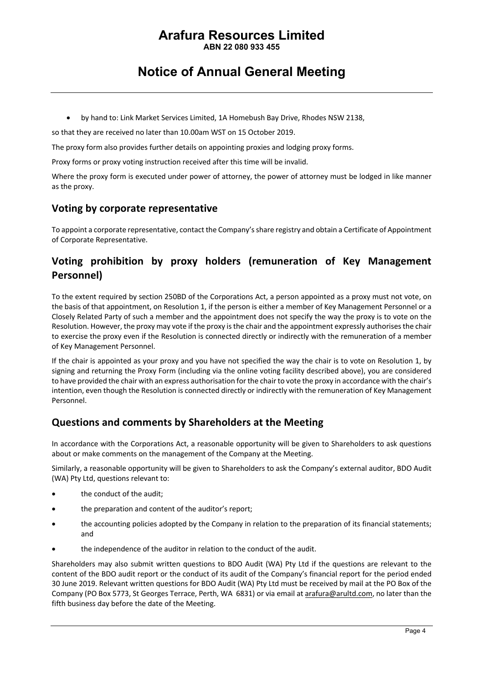**ABN 22 080 933 455**

# **Notice of Annual General Meeting**

• by hand to: Link Market Services Limited, 1A Homebush Bay Drive, Rhodes NSW 2138,

so that they are received no later than 10.00am WST on 15 October 2019.

The proxy form also provides further details on appointing proxies and lodging proxy forms.

Proxy forms or proxy voting instruction received after this time will be invalid.

Where the proxy form is executed under power of attorney, the power of attorney must be lodged in like manner as the proxy.

# **Voting by corporate representative**

To appoint a corporate representative, contact the Company's share registry and obtain a Certificate of Appointment of Corporate Representative.

# **Voting prohibition by proxy holders (remuneration of Key Management Personnel)**

To the extent required by section 250BD of the Corporations Act, a person appointed as a proxy must not vote, on the basis of that appointment, on Resolution 1, if the person is either a member of Key Management Personnel or a Closely Related Party of such a member and the appointment does not specify the way the proxy is to vote on the Resolution. However, the proxy may vote if the proxy is the chair and the appointment expressly authorises the chair to exercise the proxy even if the Resolution is connected directly or indirectly with the remuneration of a member of Key Management Personnel.

If the chair is appointed as your proxy and you have not specified the way the chair is to vote on Resolution 1, by signing and returning the Proxy Form (including via the online voting facility described above), you are considered to have provided the chair with an express authorisation for the chair to vote the proxy in accordance with the chair's intention, even though the Resolution is connected directly or indirectly with the remuneration of Key Management Personnel.

# **Questions and comments by Shareholders at the Meeting**

In accordance with the Corporations Act, a reasonable opportunity will be given to Shareholders to ask questions about or make comments on the management of the Company at the Meeting.

Similarly, a reasonable opportunity will be given to Shareholders to ask the Company's external auditor, BDO Audit (WA) Pty Ltd, questions relevant to:

- the conduct of the audit;
- the preparation and content of the auditor's report;
- the accounting policies adopted by the Company in relation to the preparation of its financial statements; and
- the independence of the auditor in relation to the conduct of the audit.

Shareholders may also submit written questions to BDO Audit (WA) Pty Ltd if the questions are relevant to the content of the BDO audit report or the conduct of its audit of the Company's financial report for the period ended 30 June 2019. Relevant written questions for BDO Audit (WA) Pty Ltd must be received by mail at the PO Box of the Company (PO Box 5773, St Georges Terrace, Perth, WA 6831) or via email at arafura@arultd.com, no later than the fifth business day before the date of the Meeting.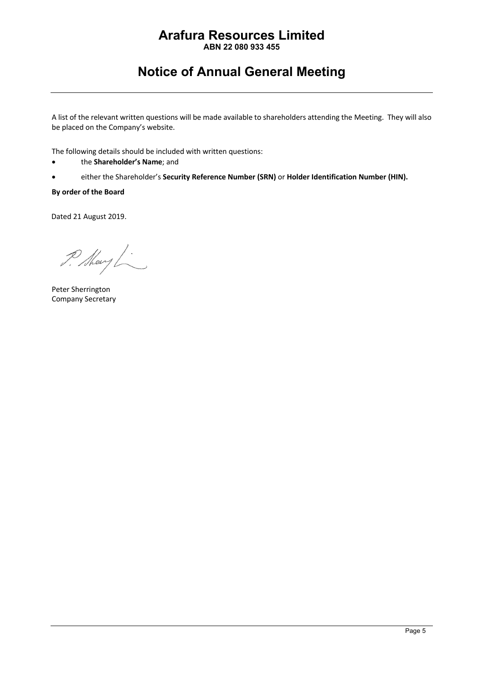**ABN 22 080 933 455**

# **Notice of Annual General Meeting**

A list of the relevant written questions will be made available to shareholders attending the Meeting. They will also be placed on the Company's website.

The following details should be included with written questions:

- the **Shareholder's Name**; and
- either the Shareholder's **Security Reference Number (SRN)** or **Holder Identification Number (HIN).**

**By order of the Board**

Dated 21 August 2019.

P. Maryl

Peter Sherrington Company Secretary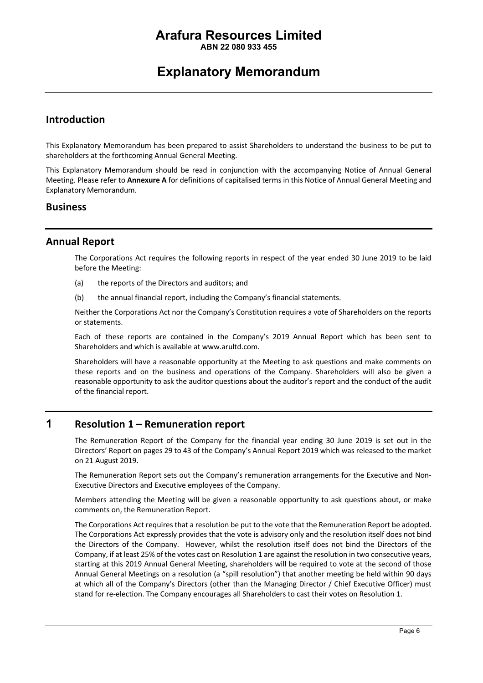**ABN 22 080 933 455**

# **Explanatory Memorandum**

## **Introduction**

This Explanatory Memorandum has been prepared to assist Shareholders to understand the business to be put to shareholders at the forthcoming Annual General Meeting.

This Explanatory Memorandum should be read in conjunction with the accompanying Notice of Annual General Meeting. Please refer to **Annexure A** for definitions of capitalised terms in this Notice of Annual General Meeting and Explanatory Memorandum.

## **Business**

## **Annual Report**

The Corporations Act requires the following reports in respect of the year ended 30 June 2019 to be laid before the Meeting:

- (a) the reports of the Directors and auditors; and
- (b) the annual financial report, including the Company's financial statements.

Neither the Corporations Act nor the Company's Constitution requires a vote of Shareholders on the reports or statements.

Each of these reports are contained in the Company's 2019 Annual Report which has been sent to Shareholders and which is available at www.arultd.com.

Shareholders will have a reasonable opportunity at the Meeting to ask questions and make comments on these reports and on the business and operations of the Company. Shareholders will also be given a reasonable opportunity to ask the auditor questions about the auditor's report and the conduct of the audit of the financial report.

# **1 Resolution 1 – Remuneration report**

The Remuneration Report of the Company for the financial year ending 30 June 2019 is set out in the Directors' Report on pages 29 to 43 of the Company's Annual Report 2019 which was released to the market on 21 August 2019.

The Remuneration Report sets out the Company's remuneration arrangements for the Executive and Non-Executive Directors and Executive employees of the Company.

Members attending the Meeting will be given a reasonable opportunity to ask questions about, or make comments on, the Remuneration Report.

The Corporations Act requires that a resolution be put to the vote that the Remuneration Report be adopted. The Corporations Act expressly provides that the vote is advisory only and the resolution itself does not bind the Directors of the Company. However, whilst the resolution itself does not bind the Directors of the Company, if at least 25% of the votes cast on Resolution 1 are against the resolution in two consecutive years, starting at this 2019 Annual General Meeting, shareholders will be required to vote at the second of those Annual General Meetings on a resolution (a "spill resolution") that another meeting be held within 90 days at which all of the Company's Directors (other than the Managing Director / Chief Executive Officer) must stand for re-election. The Company encourages all Shareholders to cast their votes on Resolution 1.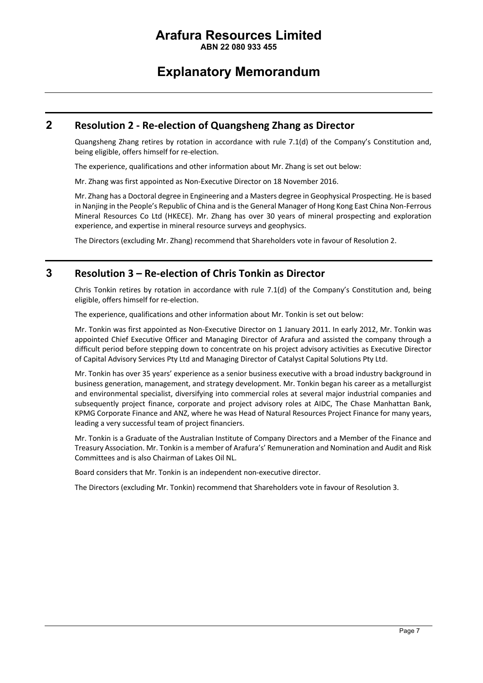**ABN 22 080 933 455**

# **Explanatory Memorandum**

## **2 Resolution 2 - Re-election of Quangsheng Zhang as Director**

Quangsheng Zhang retires by rotation in accordance with rule 7.1(d) of the Company's Constitution and, being eligible, offers himself for re-election.

The experience, qualifications and other information about Mr. Zhang is set out below:

Mr. Zhang was first appointed as Non-Executive Director on 18 November 2016.

Mr. Zhang has a Doctoral degree in Engineering and a Masters degree in Geophysical Prospecting. He is based in Nanjing in the People's Republic of China and is the General Manager of Hong Kong East China Non-Ferrous Mineral Resources Co Ltd (HKECE). Mr. Zhang has over 30 years of mineral prospecting and exploration experience, and expertise in mineral resource surveys and geophysics.

The Directors (excluding Mr. Zhang) recommend that Shareholders vote in favour of Resolution 2.

## **3 Resolution 3 – Re-election of Chris Tonkin as Director**

Chris Tonkin retires by rotation in accordance with rule 7.1(d) of the Company's Constitution and, being eligible, offers himself for re-election.

The experience, qualifications and other information about Mr. Tonkin is set out below:

Mr. Tonkin was first appointed as Non-Executive Director on 1 January 2011. In early 2012, Mr. Tonkin was appointed Chief Executive Officer and Managing Director of Arafura and assisted the company through a difficult period before stepping down to concentrate on his project advisory activities as Executive Director of Capital Advisory Services Pty Ltd and Managing Director of Catalyst Capital Solutions Pty Ltd.

Mr. Tonkin has over 35 years' experience as a senior business executive with a broad industry background in business generation, management, and strategy development. Mr. Tonkin began his career as a metallurgist and environmental specialist, diversifying into commercial roles at several major industrial companies and subsequently project finance, corporate and project advisory roles at AIDC, The Chase Manhattan Bank, KPMG Corporate Finance and ANZ, where he was Head of Natural Resources Project Finance for many years, leading a very successful team of project financiers.

Mr. Tonkin is a Graduate of the Australian Institute of Company Directors and a Member of the Finance and Treasury Association. Mr. Tonkin is a member of Arafura's' Remuneration and Nomination and Audit and Risk Committees and is also Chairman of Lakes Oil NL.

Board considers that Mr. Tonkin is an independent non-executive director.

The Directors (excluding Mr. Tonkin) recommend that Shareholders vote in favour of Resolution 3.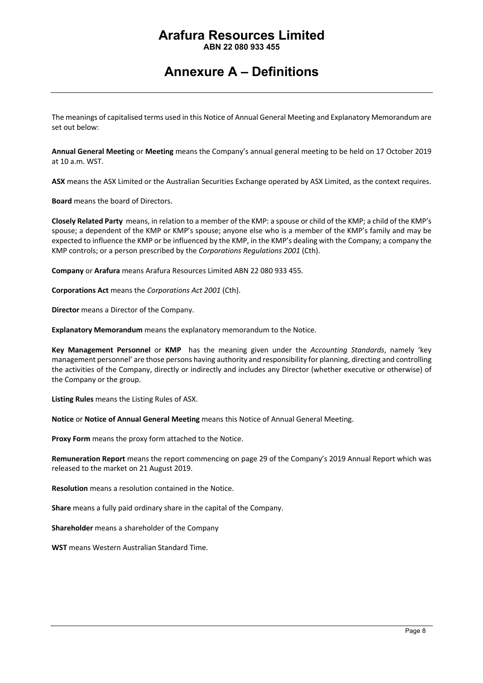**ABN 22 080 933 455**

# **Annexure A – Definitions**

The meanings of capitalised terms used in this Notice of Annual General Meeting and Explanatory Memorandum are set out below:

**Annual General Meeting** or **Meeting** means the Company's annual general meeting to be held on 17 October 2019 at 10 a.m. WST.

**ASX** means the ASX Limited or the Australian Securities Exchange operated by ASX Limited, as the context requires.

**Board** means the board of Directors.

**Closely Related Party** means, in relation to a member of the KMP: a spouse or child of the KMP; a child of the KMP's spouse; a dependent of the KMP or KMP's spouse; anyone else who is a member of the KMP's family and may be expected to influence the KMP or be influenced by the KMP, in the KMP's dealing with the Company; a company the KMP controls; or a person prescribed by the *Corporations Regulations 2001* (Cth).

**Company** or **Arafura** means Arafura Resources Limited ABN 22 080 933 455.

**Corporations Act** means the *Corporations Act 2001* (Cth).

**Director** means a Director of the Company.

**Explanatory Memorandum** means the explanatory memorandum to the Notice.

**Key Management Personnel** or **KMP** has the meaning given under the *Accounting Standards*, namely 'key management personnel' are those persons having authority and responsibility for planning, directing and controlling the activities of the Company, directly or indirectly and includes any Director (whether executive or otherwise) of the Company or the group.

**Listing Rules** means the Listing Rules of ASX.

**Notice** or **Notice of Annual General Meeting** means this Notice of Annual General Meeting.

**Proxy Form** means the proxy form attached to the Notice.

**Remuneration Report** means the report commencing on page 29 of the Company's 2019 Annual Report which was released to the market on 21 August 2019.

**Resolution** means a resolution contained in the Notice.

**Share** means a fully paid ordinary share in the capital of the Company.

**Shareholder** means a shareholder of the Company

**WST** means Western Australian Standard Time.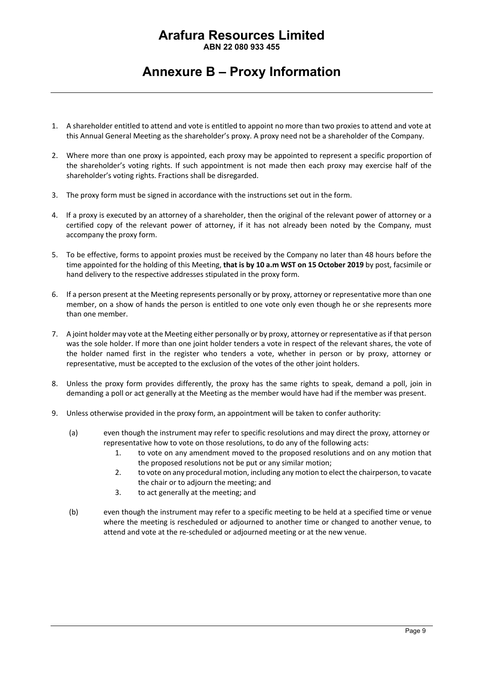**ABN 22 080 933 455**

# **Annexure B – Proxy Information**

- 1. A shareholder entitled to attend and vote is entitled to appoint no more than two proxies to attend and vote at this Annual General Meeting as the shareholder's proxy. A proxy need not be a shareholder of the Company.
- 2. Where more than one proxy is appointed, each proxy may be appointed to represent a specific proportion of the shareholder's voting rights. If such appointment is not made then each proxy may exercise half of the shareholder's voting rights. Fractions shall be disregarded.
- 3. The proxy form must be signed in accordance with the instructions set out in the form.
- 4. If a proxy is executed by an attorney of a shareholder, then the original of the relevant power of attorney or a certified copy of the relevant power of attorney, if it has not already been noted by the Company, must accompany the proxy form.
- 5. To be effective, forms to appoint proxies must be received by the Company no later than 48 hours before the time appointed for the holding of this Meeting, **that is by 10 a.m WST on 15 October 2019** by post, facsimile or hand delivery to the respective addresses stipulated in the proxy form.
- 6. If a person present at the Meeting represents personally or by proxy, attorney or representative more than one member, on a show of hands the person is entitled to one vote only even though he or she represents more than one member.
- 7. A joint holder may vote at the Meeting either personally or by proxy, attorney or representative as if that person was the sole holder. If more than one joint holder tenders a vote in respect of the relevant shares, the vote of the holder named first in the register who tenders a vote, whether in person or by proxy, attorney or representative, must be accepted to the exclusion of the votes of the other joint holders.
- 8. Unless the proxy form provides differently, the proxy has the same rights to speak, demand a poll, join in demanding a poll or act generally at the Meeting as the member would have had if the member was present.
- 9. Unless otherwise provided in the proxy form, an appointment will be taken to confer authority:
	- (a) even though the instrument may refer to specific resolutions and may direct the proxy, attorney or representative how to vote on those resolutions, to do any of the following acts:
		- 1. to vote on any amendment moved to the proposed resolutions and on any motion that the proposed resolutions not be put or any similar motion;
		- 2. to vote on any procedural motion, including any motion to elect the chairperson, to vacate the chair or to adjourn the meeting; and
		- 3. to act generally at the meeting; and
	- (b) even though the instrument may refer to a specific meeting to be held at a specified time or venue where the meeting is rescheduled or adjourned to another time or changed to another venue, to attend and vote at the re-scheduled or adjourned meeting or at the new venue.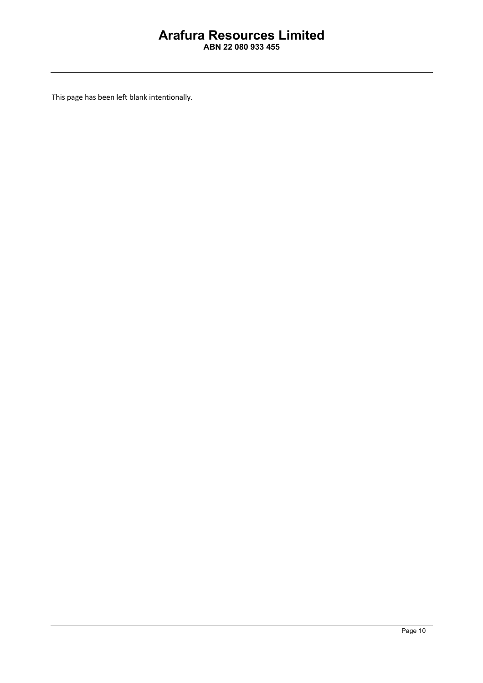**ABN 22 080 933 455**

This page has been left blank intentionally.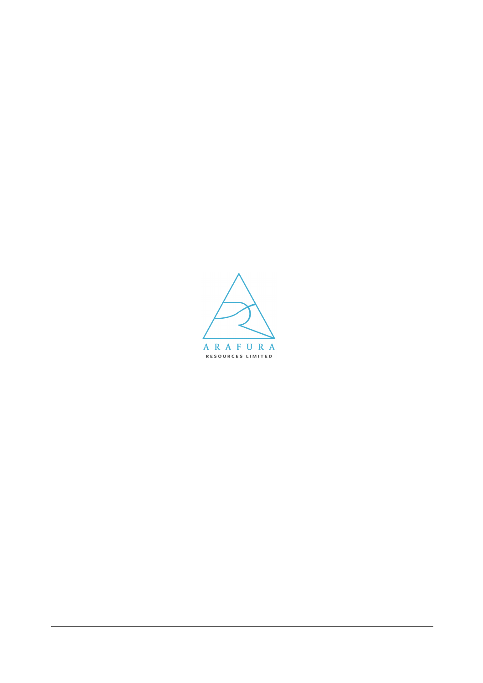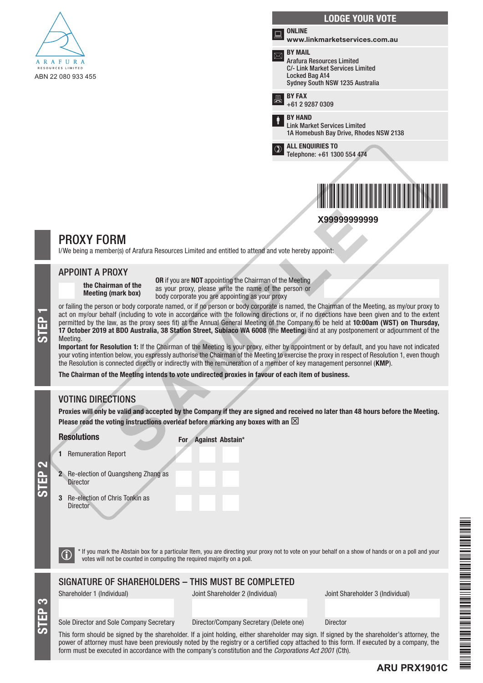

| <b>LODGE YOUR VOTE</b> |                                                                                                                                                    |
|------------------------|----------------------------------------------------------------------------------------------------------------------------------------------------|
|                        | <b>ONLINE</b><br>www.linkmarketservices.com.au                                                                                                     |
|                        | <b>BY MAIL</b><br><b>Arafura Resources Limited</b><br><b>C/- Link Market Services Limited</b><br>Locked Bag A14<br>Sydney South NSW 1235 Australia |
| 昌                      | <b>BY FAX</b><br>+61 2 9287 0309                                                                                                                   |
|                        | <b>BY HAND</b><br><b>Link Market Services Limited</b><br>1A Homebush Bay Drive, Rhodes NSW 2138                                                    |
|                        | <b>ALL ENQUIRIES TO</b><br>Telephone: +61 1300 554 474                                                                                             |
|                        |                                                                                                                                                    |

**X99999999999**

\*X99999999999\*



# PROXY FORM

I/We being a member(s) of Arafura Resources Limited and entitled to attend and vote hereby appoint:

## APPOINT A PROXY

the Chairman of the Meeting (mark box)

OR if you are NOT appointing the Chairman of the Meeting as your proxy, please write the name of the person or body corporate you are appointing as your proxy

or failing the person or body corporate named, or if no person or body corporate is named, the Chairman of the Meeting, as my/our proxy to act on my/our behalf (including to vote in accordance with the following directions act on my/our behalf (including to vote in accordance with the following directions or, if no directions have been given and to the extent permitted by the law, as the proxy sees fit) at the Annual General Meeting of the Company to be held at 10:00am (WST) on Thursday, 17 October 2019 at BDO Australia, 38 Station Street, Subiaco WA 6008 (the Meeting) and at any postponement or adjournment of the Meeting. SAMPLE

Important for Resolution 1: If the Chairman of the Meeting is your proxy, either by appointment or by default, and you have not indicated your voting intention below, you expressly authorise the Chairman of the Meeting to exercise the proxy in respect of Resolution 1, even though the Resolution is connected directly or indirectly with the remuneration of a member of key management personnel (KMP).

The Chairman of the Meeting intends to vote undirected proxies in favour of each item of business.

## VOTING DIRECTIONS

Proxies will only be valid and accepted by the Company if they are signed and received no later than 48 hours before the Meeting. Please read the voting instructions overleaf before marking any boxes with an  $\boxtimes$ 

#### Resolutions

For Against Abstain\*

1 Remuneration Report

- 2 Re-election of Quangsheng Zhang as **Director**
- 3 Re-election of Chris Tonkin as **Director**



STEP 3

STEP 2

 $\bigcirc$  \* If you mark the Abstain box for a particular Item, you are directing your proxy not to vote on your behalf on a show of hands or on a poll and your votes will not be counted in computing the required majority on a

## SIGNATURE OF SHAREHOLDERS – THIS MUST BE COMPLETED

Shareholder 1 (Individual) Joint Shareholder 2 (Individual) Joint Shareholder 3 (Individual)

**ARU PRX1901C**

#### Sole Director and Sole Company Secretary Director/Company Secretary (Delete one) Director

This form should be signed by the shareholder. If a joint holding, either shareholder may sign. If signed by the shareholder's attorney, the power of attorney must have been previously noted by the registry or a certified copy attached to this form. If executed by a company, the form must be executed in accordance with the company's constitution and the *Corporations Act 2001* (Cth).